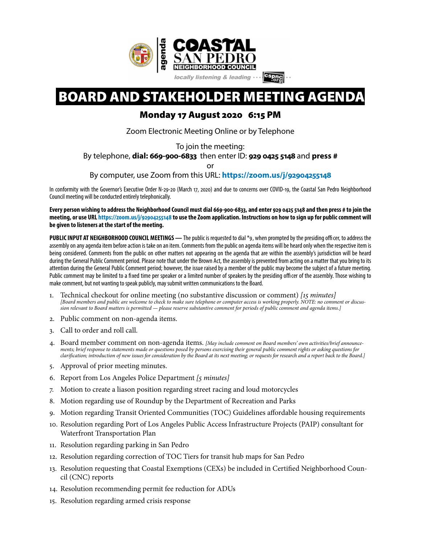

# BOARD AND STAKEHOLDER MEETING AGENDA

## Monday 17 August 2020 6:15 PM

Zoom Electronic Meeting Online or by Telephone

To join the meeting:

By telephone, **dial: 669-900-6833** then enter ID: **929 0425 5148** and **press #**

or

By computer, use Zoom from this URL: **[https://zoom.us/j/](https://zoom.us/j/92904255148)92904255148**

In conformity with the Governor's Executive Order N-29-20 (March 17, 2020) and due to concerns over COVID-19, the Coastal San Pedro Neighborhood Council meeting will be conducted entirely telephonically.

**Every person wishing to address the Neighborhood Council must dial 669-900-6833, and enter 929 04255148 and then press # to join the meeting, or use URL [https://zoom.us/j/](https://zoom.us/j/92904255148)92904255148 to use the Zoom application. Instructions on how to sign up for public comment will be given to listeners at the start of the meeting.** 

PUBLIC INPUT AT NEIGHBORHOOD COUNCIL MEETINGS - The public is requested to dial \*9, when prompted by the presiding officer, to address the assembly on any agenda item before action is take on an item. Comments from the public on agenda items will be heard only when the respective item is being considered. Comments from the public on other matters not appearing on the agenda that are within the assembly's jurisdiction will be heard during the General Public Comment period. Please note that under the Brown Act, the assembly is prevented from acting on a matter that you bring to its attention during the General Public Comment period; however, the issue raised by a member of the public may become the subject of a future meeting. Public comment may be limited to a fxed time per speaker or a limited number of speakers by the presiding officer of the assembly. Those wishing to make comment, but not wanting to speak publicly, may submit written communications to the Board.

- 1. Technical checkout for online meeting (no substantive discussion or comment) *[*15 *minutes] [Board members and public are welcome to check to make sure telephone or computer access is working properly. NOTE: no comment or discussion relevant to Board matters is permitted — please reserve substantive comment for periods of public comment and agenda items.]*
- 2. Public comment on non-agenda items.
- 3. Call to order and roll call.
- 4. Board member comment on non-agenda items. *[May include comment on Board members' own activities/brief announcements; brief response to statements made or questions posed by persons exercising their general public comment rights or asking questions for clari*f*cation; introduction of new issues for consideration by the Board at its next meeting; or requests for research and a report back to the Board.]*
- 5. Approval of prior meeting minutes.
- 6. Report from Los Angeles Police Department *[*5 *minutes]*
- 7. Motion to create a liason position regarding street racing and loud motorcycles
- 8. Motion regarding use of Roundup by the Department of Recreation and Parks
- 9. Motion regarding Transit Oriented Communities (TOC) Guidelines affordable housing requirements
- 10. Resolution regarding Port of Los Angeles Public Access Infrastructure Projects (PAIP) consultant for Waterfront Transportation Plan
- 11. Resolution regarding parking in San Pedro
- 12. Resolution regarding correction of TOC Tiers for transit hub maps for San Pedro
- 13. Resolution requesting that Coastal Exemptions (CEXs) be included in Certifed Neighborhood Council (CNC) reports
- 14. Resolution recommending permit fee reduction for ADUs
- 15. Resolution regarding armed crisis response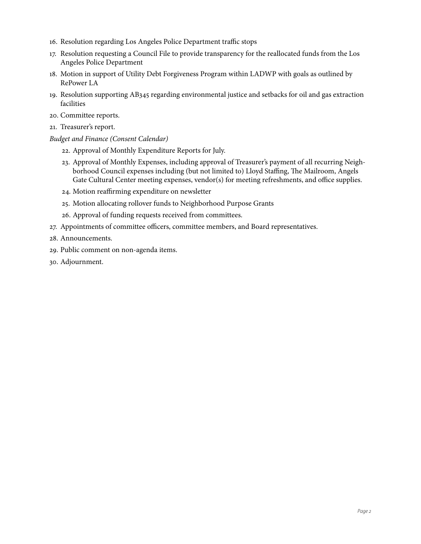- . Resolution regarding Los Angeles Police Department traffic stops
- . Resolution requesting a Council File to provide transparency for the reallocated funds from the Los Angeles Police Department
- . Motion in support of Utility Debt Forgiveness Program within LADWP with goals as outlined by RePower LA
- . Resolution supporting AB345 regarding environmental justice and setbacks for oil and gas extraction facilities
- . Committee reports.
- . Treasurer's report.

#### *Budget and Finance (Consent Calendar)*

- . Approval of Monthly Expenditure Reports for July.
- . Approval of Monthly Expenses, including approval of Treasurer's payment of all recurring Neighborhood Council expenses including (but not limited to) Lloyd Staffing, The Mailroom, Angels Gate Cultural Center meeting expenses, vendor(s) for meeting refreshments, and office supplies.
- . Motion reaffirming expenditure on newsletter
- . Motion allocating rollover funds to Neighborhood Purpose Grants
- . Approval of funding requests received from committees.
- . Appointments of committee officers, committee members, and Board representatives.
- . Announcements.
- . Public comment on non-agenda items.
- . Adjournment.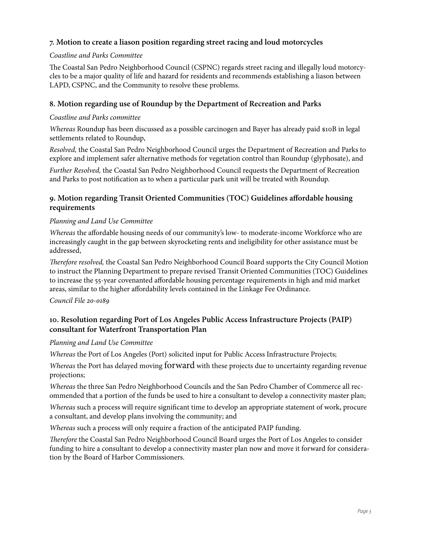## **7. Motion to create a liason position regarding street racing and loud motorcycles**

#### *Coastline and Parks Committee*

The Coastal San Pedro Neighborhood Council (CSPNC) regards street racing and illegally loud motorcycles to be a major quality of life and hazard for residents and recommends establishing a liason between LAPD, CSPNC, and the Community to resolve these problems.

## **8. Motion regarding use of Roundup by the Department of Recreation and Parks**

#### *Coastline and Parks committee*

*Whereas* Roundup has been discussed as a possible carcinogen and Bayer has already paid \$10B in legal settlements related to Roundup,

*Resolved,* the Coastal San Pedro Neighborhood Council urges the Department of Recreation and Parks to explore and implement safer alternative methods for vegetation control than Roundup (glyphosate), and

*Further Resolved,* the Coastal San Pedro Neighborhood Council requests the Department of Recreation and Parks to post notifcation as to when a particular park unit will be treated with Roundup.

## **9. Motion regarding Transit Oriented Communities (TOC) Guidelines affordable housing requirements**

#### *Planning and Land Use Committee*

*Whereas* the affordable housing needs of our community's low- to moderate-income Workforce who are increasingly caught in the gap between skyrocketing rents and ineligibility for other assistance must be addressed,

T*erefore resolved,* the Coastal San Pedro Neighborhood Council Board supports the City Council Motion to instruct the Planning Department to prepare revised Transit Oriented Communities (TOC) Guidelines to increase the 55-year covenanted affordable housing percentage requirements in high and mid market areas, similar to the higher affordability levels contained in the Linkage Fee Ordinance.

*Council File* 20*-*0189

## **10. Resolution regarding Port of Los Angeles Public Access Infrastructure Projects (PAIP) consultant for Waterfront Transportation Plan**

#### *Planning and Land Use Committee*

*Whereas* the Port of Los Angeles (Port) solicited input for Public Access Infrastructure Projects;

*Whereas* the Port has delayed moving forward with these projects due to uncertainty regarding revenue projections;

*Whereas* the three San Pedro Neighborhood Councils and the San Pedro Chamber of Commerce all recommended that a portion of the funds be used to hire a consultant to develop a connectivity master plan;

*Whereas* such a process will require signifcant time to develop an appropriate statement of work, procure a consultant, and develop plans involving the community; and

*Whereas* such a process will only require a fraction of the anticipated PAIP funding.

T*erefore* the Coastal San Pedro Neighborhood Council Board urges the Port of Los Angeles to consider funding to hire a consultant to develop a connectivity master plan now and move it forward for consideration by the Board of Harbor Commissioners.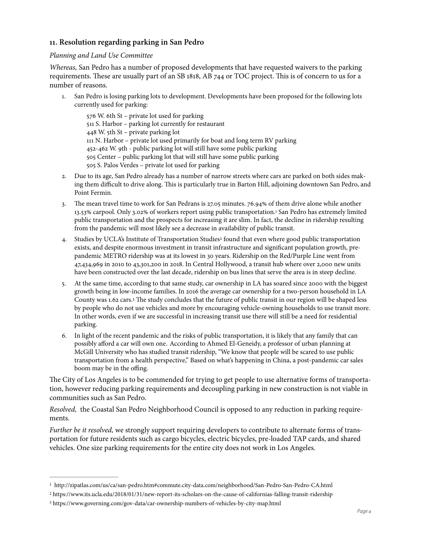#### **11. Resolution regarding parking in San Pedro**

#### *Planning and Land Use Committee*

*Whereas,* San Pedro has a number of proposed developments that have requested waivers to the parking requirements. These are usually part of an SB 1818, AB 744 or TOC project. This is of concern to us for a number of reasons.

1. San Pedro is losing parking lots to development. Developments have been proposed for the following lots currently used for parking:

<span id="page-3-3"></span> W. 6th St – private lot used for parking S. Harbor – parking lot currently for restaurant W. 5th St – private parking lot N. Harbor – private lot used primarily for boat and long term RV parking -462 W. 9th - public parking lot will still have some public parking Center – public parking lot that will still have some public parking S. Palos Verdes – private lot used for parking

- 2. Due to its age, San Pedro already has a number of narrow streets where cars are parked on both sides making them difficult to drive along. Tis is particularly true in Barton Hill, adjoining downtown San Pedro, and Point Fermin.
- 3. The mean travel time to work for San Pedrans is 27.05 minutes. 76.94% of them drive alone while another 13.53% carpool. Only 3.02% of workers report using public transportation.San Pedro has extremely limited <sup>1</sup> public transportation and the prospects for increasing it are slim. In fact, the decline in ridership resulting from the pandemic will most likely see a decrease in availability of public transit.
- <span id="page-3-4"></span>4.Studies by UCLA's Institute of Transportation Studies<sup>2</sup> found that even where good public transportation exists, and despite enormous investment in transit infrastructure and signifcant population growth, prepandemic METRO ridership was at its lowest in 30 years. Ridership on the Red/Purple Line went from 47,434,969 in 2010 to 43,301,200 in 2018. In Central Hollywood, a transit hub where over 2,000 new units have been constructed over the last decade, ridership on bus lines that serve the area is in steep decline.
- <span id="page-3-5"></span>5. At the same time, according to that same study, car ownership in LA has soared since 2000 with the biggest growth being in low-income families. In 2016 the average car ownership for a two-person household in LA County was 1.62 cars.<sup>[3](#page-3-2)</sup> The study concludes that the future of public transit in our region will be shaped less by people who do not use vehicles and more by encouraging vehicle-owning households to use transit more. In other words, even if we are successful in increasing transit use there will still be a need for residential parking.
- 6. In light of the recent pandemic and the risks of public transportation, it is likely that any family that can possibly afford a car will own one. According to Ahmed El-Geneidy, a professor of urban planning at McGill University who has studied transit ridership, "We know that people will be scared to use public transportation from a health perspective," Based on what's happening in China, a post-pandemic car sales boom may be in the offing.

The City of Los Angeles is to be commended for trying to get people to use alternative forms of transportation, however reducing parking requirements and decoupling parking in new construction is not viable in communities such as San Pedro.

*Resolved,* the Coastal San Pedro Neighborhood Council is opposed to any reduction in parking requirements.

*Further be it resolved,* we strongly support requiring developers to contribute to alternate forms of transportation for future residents such as cargo bicycles, electric bicycles, pre-loaded TAP cards, and shared vehicles. One size parking requirements for the entire city does not work in Los Angeles.

<span id="page-3-0"></span>http://zipatlas.com/us/ca/san-pedro.htm#commute.city-data.com/neighborhood/San-Pedro-San-Pedro-CA.html [1](#page-3-3)

<span id="page-3-1"></span>[<sup>2</sup>](#page-3-4) https://www.its.ucla.edu/2018/01/31/new-report-its-scholars-on-the-cause-of-californias-falling-transit-ridership

<span id="page-3-2"></span>https://www.governing.com/gov-data/car-ownership-numbers-of-vehicles-by-city-map.html [3](#page-3-5)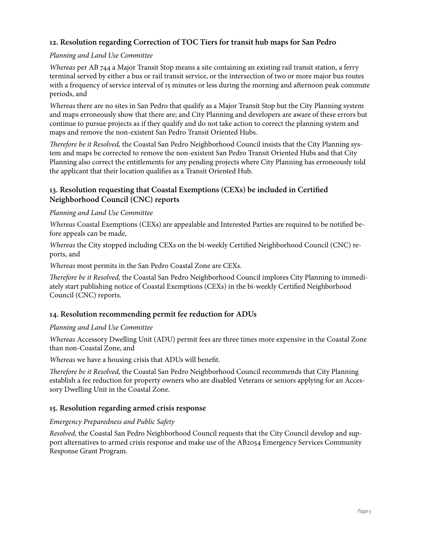## **12. Resolution regarding Correction of TOC Tiers for transit hub maps for San Pedro**

#### *Planning and Land Use Committee*

*Whereas* per AB 744 a Major Transit Stop means a site containing an existing rail transit station, a ferry terminal served by either a bus or rail transit service, or the intersection of two or more major bus routes with a frequency of service interval of 15 minutes or less during the morning and afernoon peak commute periods, and

*Whereas* there are no sites in San Pedro that qualify as a Major Transit Stop but the City Planning system and maps erroneously show that there are; and City Planning and developers are aware of these errors but continue to pursue projects as if they qualify and do not take action to correct the planning system and maps and remove the non-existent San Pedro Transit Oriented Hubs.

T*erefore be it Resolved,* the Coastal San Pedro Neighborhood Council insists that the City Planning system and maps be corrected to remove the non-existent San Pedro Transit Oriented Hubs and that City Planning also correct the entitlements for any pending projects where City Planning has erroneously told the applicant that their location qualifes as a Transit Oriented Hub.

## **13. Resolution requesting that Coastal Exemptions (CEXs) be included in Certifed Neighborhood Council (CNC) reports**

#### *Planning and Land Use Committee*

*Whereas* Coastal Exemptions (CEXs) are appealable and Interested Parties are required to be notifed before appeals can be made,

*Whereas* the City stopped including CEXs on the bi-weekly Certifed Neighborhood Council (CNC) reports, and

*Whereas* most permits in the San Pedro Coastal Zone are CEXs.

T*erefore be it Resolved,* the Coastal San Pedro Neighborhood Council implores City Planning to immediately start publishing notice of Coastal Exemptions (CEXs) in the bi-weekly Certifed Neighborhood Council (CNC) reports.

## **14. Resolution recommending permit fee reduction for ADUs**

#### *Planning and Land Use Committee*

*Whereas* Accessory Dwelling Unit (ADU) permit fees are three times more expensive in the Coastal Zone than non-Coastal Zone, and

*Whereas* we have a housing crisis that ADUs will beneft.

T*erefore be it Resolved,* the Coastal San Pedro Neighborhood Council recommends that City Planning establish a fee reduction for property owners who are disabled Veterans or seniors applying for an Accessory Dwelling Unit in the Coastal Zone.

## **15. Resolution regarding armed crisis response**

#### *Emergency Preparedness and Public Safety*

*Resolved,* the Coastal San Pedro Neighborhood Council requests that the City Council develop and support alternatives to armed crisis response and make use of the AB2054 Emergency Services Community Response Grant Program.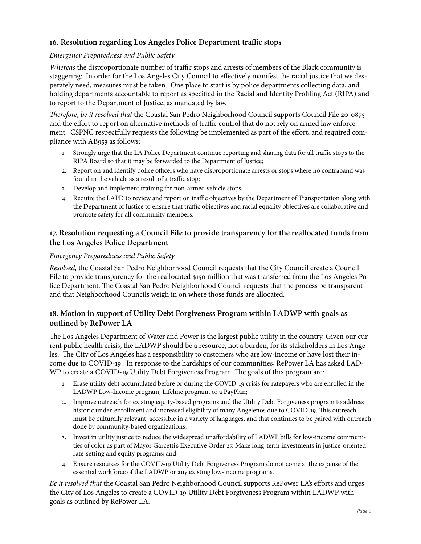## **16. Resolution regarding Los Angeles Police Department traffic stops**

#### *Emergency Preparedness and Public Safety*

*Whereas* the disproportionate number of traffic stops and arrests of members of the Black community is staggering: In order for the Los Angeles City Council to effectively manifest the racial justice that we desperately need, measures must be taken. One place to start is by police departments collecting data, and holding departments accountable to report as specifed in the Racial and Identity Profling Act (RIPA) and to report to the Department of Justice, as mandated by law.

T*erefore, be it resolved that* the Coastal San Pedro Neighborhood Council supports Council File 20-0875 and the effort to report on alternative methods of traffic control that do not rely on armed law enforcement. CSPNC respectfully requests the following be implemented as part of the effort, and required compliance with AB953 as follows:

- 1. Strongly urge that the LA Police Department continue reporting and sharing data for all traffic stops to the RIPA Board so that it may be forwarded to the Department of Justice;
- 2. Report on and identify police officers who have disproportionate arrests or stops where no contraband was found in the vehicle as a result of a traffic stop;
- 3. Develop and implement training for non-armed vehicle stops;
- 4. Require the LAPD to review and report on traffic objectives by the Department of Transportation along with the Department of Justice to ensure that traffic objectives and racial equality objectives are collaborative and promote safety for all community members.

## **17. Resolution requesting a Council File to provide transparency for the reallocated funds from the Los Angeles Police Department**

#### *Emergency Preparedness and Public Safety*

*Resolved,* the Coastal San Pedro Neighborhood Council requests that the City Council create a Council File to provide transparency for the reallocated \$150 million that was transferred from the Los Angeles Police Department. The Coastal San Pedro Neighborhood Council requests that the process be transparent and that Neighborhood Councils weigh in on where those funds are allocated.

## **18. Motion in support of Utility Debt Forgiveness Program within LADWP with goals as outlined by RePower LA**

The Los Angeles Department of Water and Power is the largest public utility in the country. Given our current public health crisis, the LADWP should be a resource, not a burden, for its stakeholders in Los Angeles. The City of Los Angeles has a responsibility to customers who are low-income or have lost their income due to COVID-19. In response to the hardships of our communities, RePower LA has asked LAD-WP to create a COVID-19 Utility Debt Forgiveness Program. The goals of this program are:

- 1. Erase utility debt accumulated before or during the COVID-19 crisis for ratepayers who are enrolled in the LADWP Low-Income program, Lifeline program, or a PayPlan;
- 2. Improve outreach for existing equity-based programs and the Utility Debt Forgiveness program to address historic under-enrollment and increased eligibility of many Angelenos due to COVID-19. This outreach must be culturally relevant, accessible in a variety of languages, and that continues to be paired with outreach done by community-based organizations;
- 3. Invest in utility justice to reduce the widespread unaffordability of LADWP bills for low-income communities of color as part of Mayor Garcetti's Executive Order 27. Make long-term investments in justice-oriented rate-setting and equity programs; and,
- 4. Ensure resources for the COVID-19 Utility Debt Forgiveness Program do not come at the expense of the essential workforce of the LADWP or any existing low-income programs.

*Be it resolved that* the Coastal San Pedro Neighborhood Council supports RePower LA's efforts and urges the City of Los Angeles to create a COVID-19 Utility Debt Forgiveness Program within LADWP with goals as outlined by RePower LA.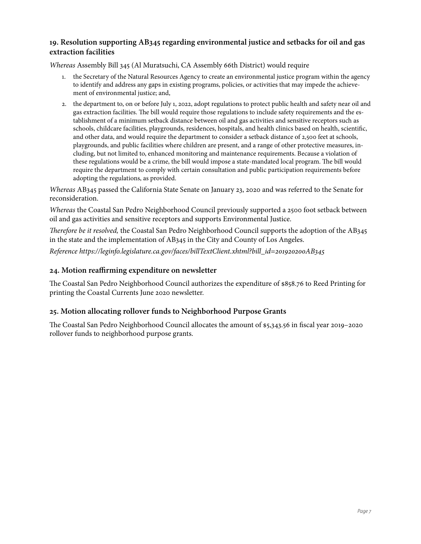## **19. Resolution supporting AB345 regarding environmental justice and setbacks for oil and gas extraction facilities**

*Whereas* Assembly Bill 345 (Al Muratsuchi, CA Assembly 66th District) would require

- 1. the Secretary of the Natural Resources Agency to create an environmental justice program within the agency to identify and address any gaps in existing programs, policies, or activities that may impede the achievement of environmental justice; and,
- 2. the department to, on or before July 1, 2022, adopt regulations to protect public health and safety near oil and gas extraction facilities. The bill would require those regulations to include safety requirements and the establishment of a minimum setback distance between oil and gas activities and sensitive receptors such as schools, childcare facilities, playgrounds, residences, hospitals, and health clinics based on health, scientifc, and other data, and would require the department to consider a setback distance of 2,500 feet at schools, playgrounds, and public facilities where children are present, and a range of other protective measures, including, but not limited to, enhanced monitoring and maintenance requirements. Because a violation of these regulations would be a crime, the bill would impose a state-mandated local program. The bill would require the department to comply with certain consultation and public participation requirements before adopting the regulations, as provided.

*Whereas* AB345 passed the California State Senate on January 23, 2020 and was referred to the Senate for reconsideration.

*Whereas* the Coastal San Pedro Neighborhood Council previously supported a 2500 foot setback between oil and gas activities and sensitive receptors and supports Environmental Justice.

T*erefore be it resolved,* the Coastal San Pedro Neighborhood Council supports the adoption of the AB345 in the state and the implementation of AB345 in the City and County of Los Angeles.

*Reference https://leginfo.legislature.ca.gov/faces/billTextClient.xhtml?bill\_id=*201920200*AB*345

## **24. Motion reaffirming expenditure on newsletter**

The Coastal San Pedro Neighborhood Council authorizes the expenditure of \$858.76 to Reed Printing for printing the Coastal Currents June 2020 newsletter.

## **25. Motion allocating rollover funds to Neighborhood Purpose Grants**

The Coastal San Pedro Neighborhood Council allocates the amount of \$5,343.56 in fiscal year 2019–2020 rollover funds to neighborhood purpose grants.